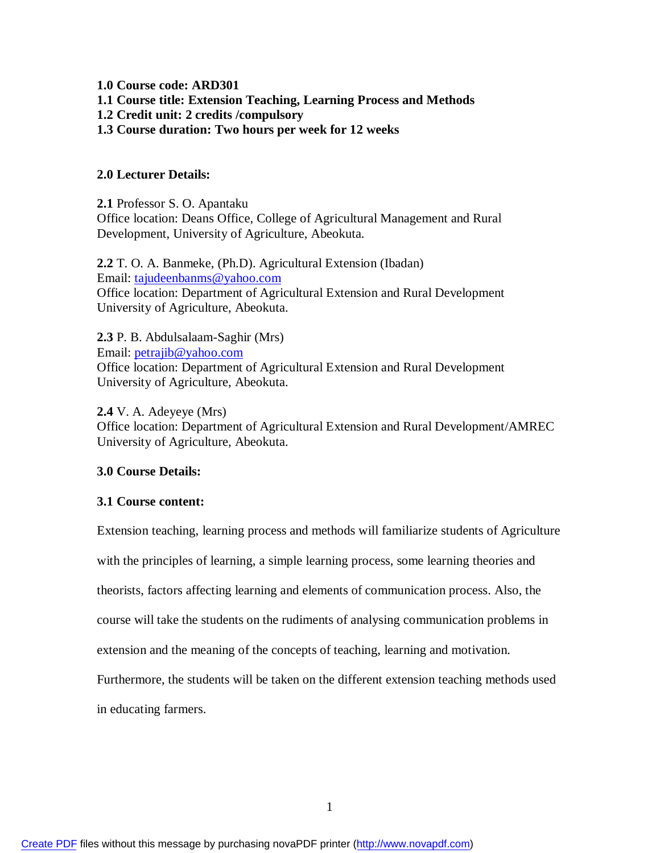# **1.0 Course code: ARD301 1.1 Course title: Extension Teaching, Learning Process and Methods 1.2 Credit unit: 2 credits /compulsory 1.3 Course duration: Two hours per week for 12 weeks**

# **2.0 Lecturer Details:**

**2.1** Professor S. O. Apantaku Office location: Deans Office, College of Agricultural Management and Rural Development, University of Agriculture, Abeokuta.

**2.2** T. O. A. Banmeke, (Ph.D). Agricultural Extension (Ibadan) Email: [tajudeenbanms@yahoo.com](mailto:tajudeenbanms@yahoo.com) Office location: Department of Agricultural Extension and Rural Development University of Agriculture, Abeokuta.

**2.3** P. B. Abdulsalaam-Saghir (Mrs) Email: [petrajib@yahoo.com](mailto:petrajib@yahoo.com) Office location: Department of Agricultural Extension and Rural Development University of Agriculture, Abeokuta.

**2.4** V. A. Adeyeye (Mrs) Office location: Department of Agricultural Extension and Rural Development/AMREC University of Agriculture, Abeokuta.

## **3.0 Course Details:**

## **3.1 Course content:**

Extension teaching, learning process and methods will familiarize students of Agriculture

with the principles of learning, a simple learning process, some learning theories and

theorists, factors affecting learning and elements of communication process. Also, the

course will take the students on the rudiments of analysing communication problems in

extension and the meaning of the concepts of teaching, learning and motivation.

Furthermore, the students will be taken on the different extension teaching methods used

in educating farmers.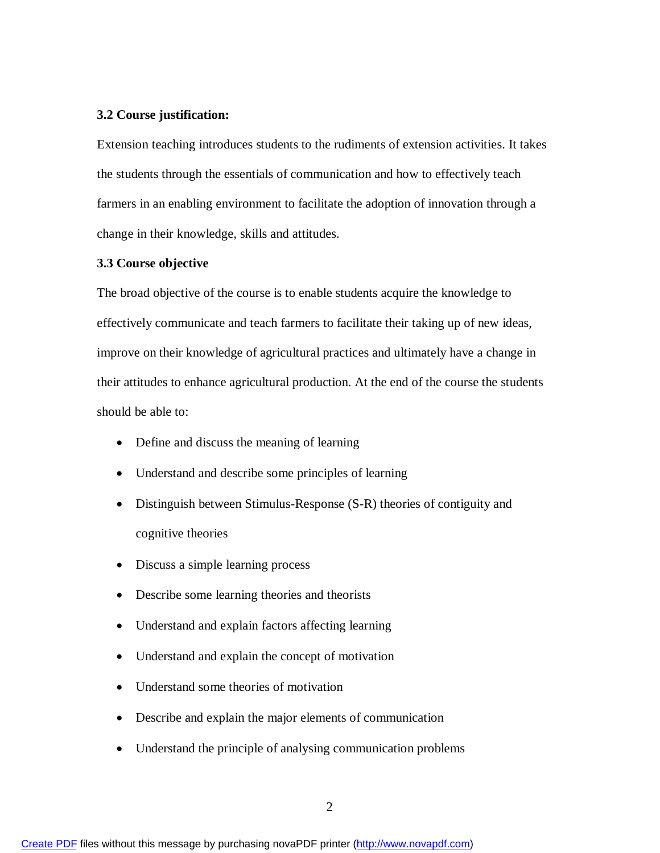## **3.2 Course justification:**

Extension teaching introduces students to the rudiments of extension activities. It takes the students through the essentials of communication and how to effectively teach farmers in an enabling environment to facilitate the adoption of innovation through a change in their knowledge, skills and attitudes.

### **3.3 Course objective**

The broad objective of the course is to enable students acquire the knowledge to effectively communicate and teach farmers to facilitate their taking up of new ideas, improve on their knowledge of agricultural practices and ultimately have a change in their attitudes to enhance agricultural production. At the end of the course the students should be able to:

- Define and discuss the meaning of learning
- Understand and describe some principles of learning
- Distinguish between Stimulus-Response (S-R) theories of contiguity and cognitive theories
- Discuss a simple learning process
- Describe some learning theories and theorists
- Understand and explain factors affecting learning
- Understand and explain the concept of motivation
- Understand some theories of motivation
- Describe and explain the major elements of communication
- Understand the principle of analysing communication problems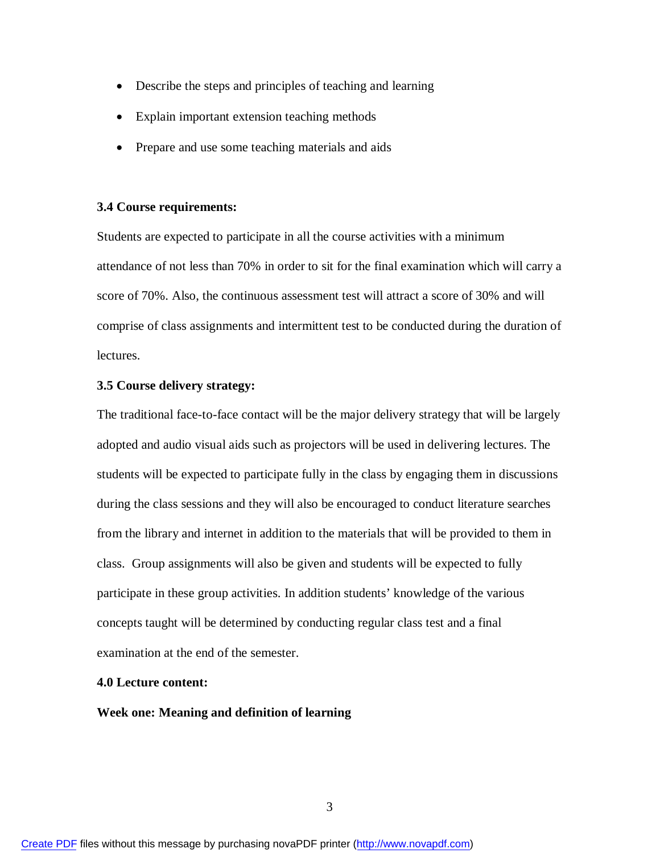- Describe the steps and principles of teaching and learning
- Explain important extension teaching methods
- Prepare and use some teaching materials and aids

### **3.4 Course requirements:**

Students are expected to participate in all the course activities with a minimum attendance of not less than 70% in order to sit for the final examination which will carry a score of 70%. Also, the continuous assessment test will attract a score of 30% and will comprise of class assignments and intermittent test to be conducted during the duration of lectures.

## **3.5 Course delivery strategy:**

The traditional face-to-face contact will be the major delivery strategy that will be largely adopted and audio visual aids such as projectors will be used in delivering lectures. The students will be expected to participate fully in the class by engaging them in discussions during the class sessions and they will also be encouraged to conduct literature searches from the library and internet in addition to the materials that will be provided to them in class. Group assignments will also be given and students will be expected to fully participate in these group activities. In addition students' knowledge of the various concepts taught will be determined by conducting regular class test and a final examination at the end of the semester.

## **4.0 Lecture content:**

### **Week one: Meaning and definition of learning**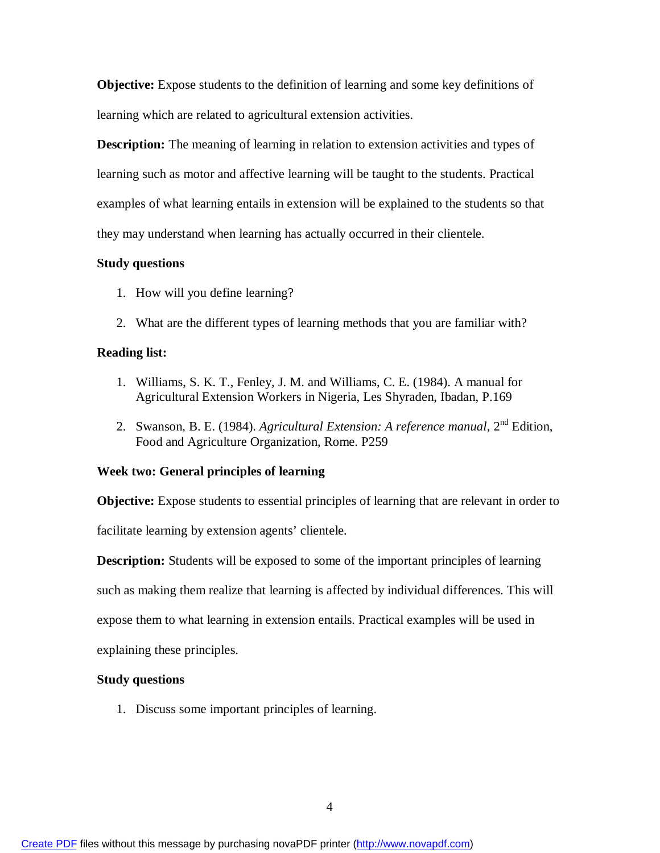**Objective:** Expose students to the definition of learning and some key definitions of learning which are related to agricultural extension activities.

**Description:** The meaning of learning in relation to extension activities and types of learning such as motor and affective learning will be taught to the students. Practical examples of what learning entails in extension will be explained to the students so that they may understand when learning has actually occurred in their clientele.

## **Study questions**

- 1. How will you define learning?
- 2. What are the different types of learning methods that you are familiar with?

## **Reading list:**

- 1. Williams, S. K. T., Fenley, J. M. and Williams, C. E. (1984). A manual for Agricultural Extension Workers in Nigeria, Les Shyraden, Ibadan, P.169
- 2. Swanson, B. E. (1984). *Agricultural Extension: A reference manual*, 2nd Edition, Food and Agriculture Organization, Rome. P259

## **Week two: General principles of learning**

**Objective:** Expose students to essential principles of learning that are relevant in order to facilitate learning by extension agents' clientele.

**Description:** Students will be exposed to some of the important principles of learning such as making them realize that learning is affected by individual differences. This will expose them to what learning in extension entails. Practical examples will be used in explaining these principles.

## **Study questions**

1. Discuss some important principles of learning.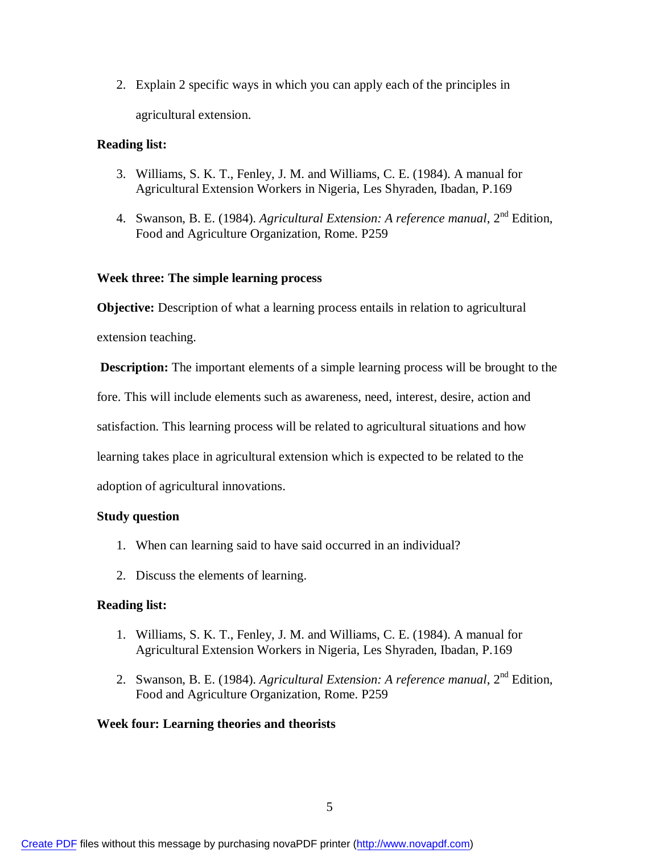2. Explain 2 specific ways in which you can apply each of the principles in agricultural extension.

# **Reading list:**

- 3. Williams, S. K. T., Fenley, J. M. and Williams, C. E. (1984). A manual for Agricultural Extension Workers in Nigeria, Les Shyraden, Ibadan, P.169
- 4. Swanson, B. E. (1984). *Agricultural Extension: A reference manual*, 2<sup>nd</sup> Edition, Food and Agriculture Organization, Rome. P259

# **Week three: The simple learning process**

**Objective:** Description of what a learning process entails in relation to agricultural

extension teaching.

**Description:** The important elements of a simple learning process will be brought to the

fore. This will include elements such as awareness, need, interest, desire, action and

satisfaction. This learning process will be related to agricultural situations and how

learning takes place in agricultural extension which is expected to be related to the

adoption of agricultural innovations.

# **Study question**

- 1. When can learning said to have said occurred in an individual?
- 2. Discuss the elements of learning.

## **Reading list:**

- 1. Williams, S. K. T., Fenley, J. M. and Williams, C. E. (1984). A manual for Agricultural Extension Workers in Nigeria, Les Shyraden, Ibadan, P.169
- 2. Swanson, B. E. (1984). *Agricultural Extension: A reference manual*, 2nd Edition, Food and Agriculture Organization, Rome. P259

# **Week four: Learning theories and theorists**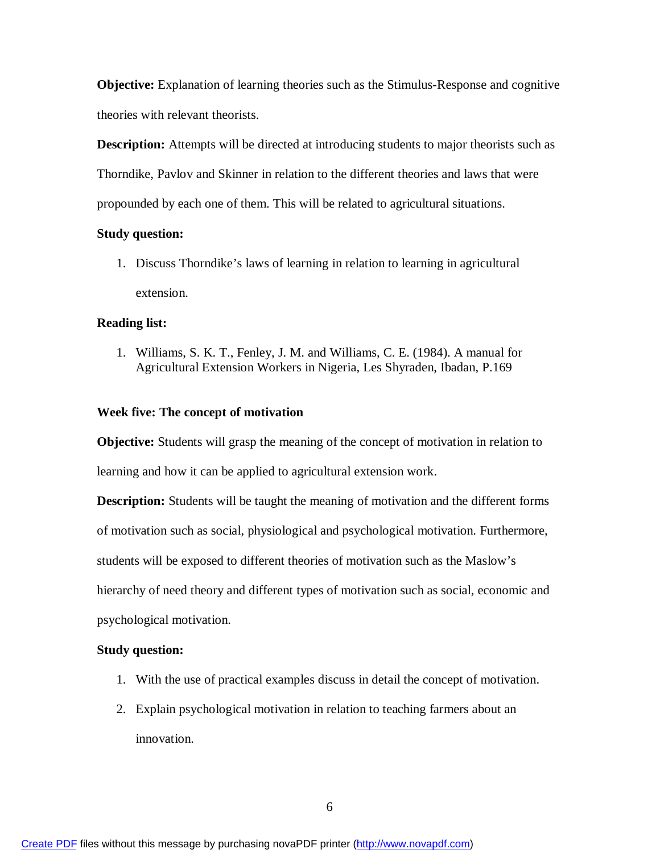**Objective:** Explanation of learning theories such as the Stimulus-Response and cognitive theories with relevant theorists.

**Description:** Attempts will be directed at introducing students to major theorists such as Thorndike, Pavlov and Skinner in relation to the different theories and laws that were propounded by each one of them. This will be related to agricultural situations.

## **Study question:**

1. Discuss Thorndike's laws of learning in relation to learning in agricultural extension.

## **Reading list:**

1. Williams, S. K. T., Fenley, J. M. and Williams, C. E. (1984). A manual for Agricultural Extension Workers in Nigeria, Les Shyraden, Ibadan, P.169

### **Week five: The concept of motivation**

**Objective:** Students will grasp the meaning of the concept of motivation in relation to learning and how it can be applied to agricultural extension work.

**Description:** Students will be taught the meaning of motivation and the different forms of motivation such as social, physiological and psychological motivation. Furthermore, students will be exposed to different theories of motivation such as the Maslow's hierarchy of need theory and different types of motivation such as social, economic and psychological motivation.

#### **Study question:**

- 1. With the use of practical examples discuss in detail the concept of motivation.
- 2. Explain psychological motivation in relation to teaching farmers about an innovation.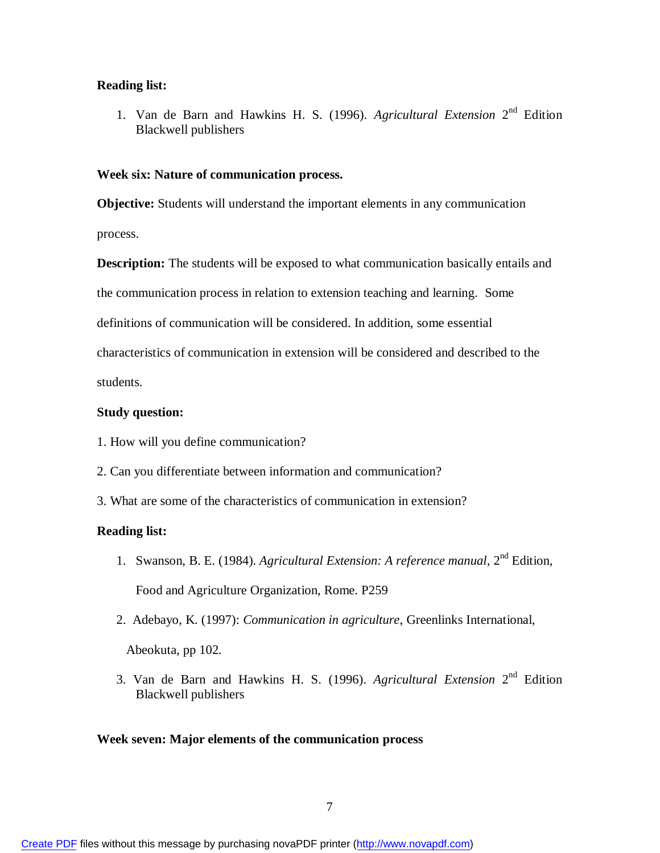## **Reading list:**

1. Van de Barn and Hawkins H. S. (1996). *Agricultural Extension* 2<sup>nd</sup> Edition Blackwell publishers

### **Week six: Nature of communication process.**

**Objective:** Students will understand the important elements in any communication process.

**Description:** The students will be exposed to what communication basically entails and the communication process in relation to extension teaching and learning. Some definitions of communication will be considered. In addition, some essential characteristics of communication in extension will be considered and described to the students.

### **Study question:**

- 1. How will you define communication?
- 2. Can you differentiate between information and communication?
- 3. What are some of the characteristics of communication in extension?

#### **Reading list:**

- 1. Swanson, B. E. (1984). *Agricultural Extension: A reference manual*, 2<sup>nd</sup> Edition, Food and Agriculture Organization, Rome. P259
- 2. Adebayo, K. (1997): *Communication in agriculture*, Greenlinks International,

Abeokuta, pp 102.

3. Van de Barn and Hawkins H. S. (1996). *Agricultural Extension* 2<sup>nd</sup> Edition Blackwell publishers

#### **Week seven: Major elements of the communication process**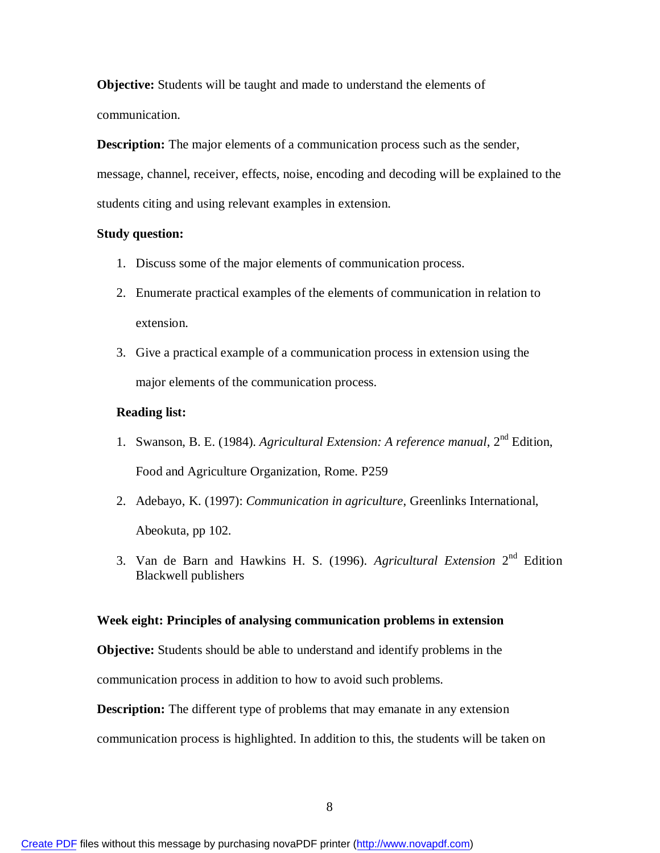**Objective:** Students will be taught and made to understand the elements of communication.

**Description:** The major elements of a communication process such as the sender, message, channel, receiver, effects, noise, encoding and decoding will be explained to the students citing and using relevant examples in extension.

## **Study question:**

- 1. Discuss some of the major elements of communication process.
- 2. Enumerate practical examples of the elements of communication in relation to extension.
- 3. Give a practical example of a communication process in extension using the major elements of the communication process.

## **Reading list:**

- 1. Swanson, B. E. (1984). *Agricultural Extension: A reference manual*, 2nd Edition, Food and Agriculture Organization, Rome. P259
- 2. Adebayo, K. (1997): *Communication in agriculture*, Greenlinks International, Abeokuta, pp 102.
- 3. Van de Barn and Hawkins H. S. (1996). *Agricultural Extension* 2<sup>nd</sup> Edition Blackwell publishers

### **Week eight: Principles of analysing communication problems in extension**

**Objective:** Students should be able to understand and identify problems in the communication process in addition to how to avoid such problems.

**Description:** The different type of problems that may emanate in any extension

communication process is highlighted. In addition to this, the students will be taken on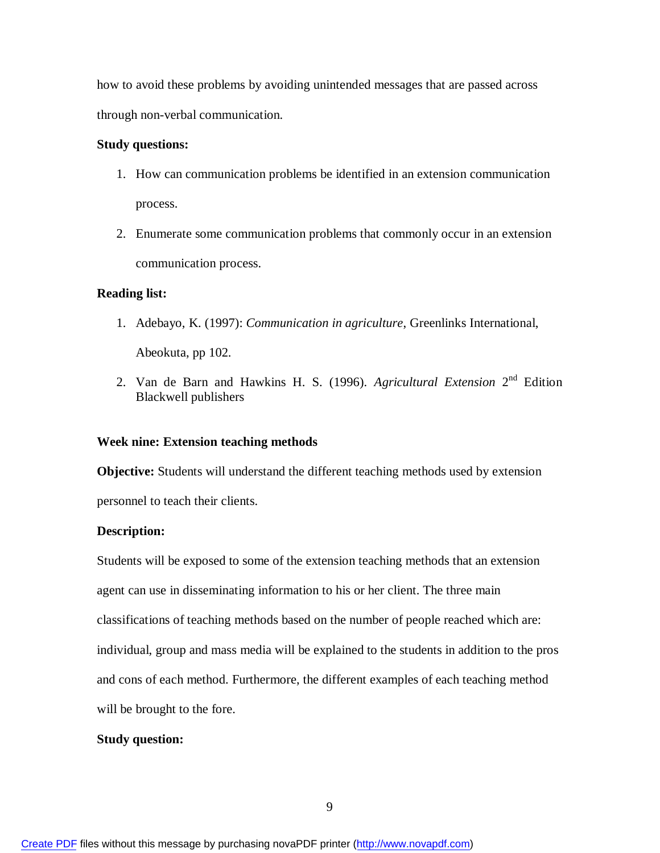how to avoid these problems by avoiding unintended messages that are passed across through non-verbal communication.

## **Study questions:**

- 1. How can communication problems be identified in an extension communication process.
- 2. Enumerate some communication problems that commonly occur in an extension communication process.

## **Reading list:**

- 1. Adebayo, K. (1997): *Communication in agriculture*, Greenlinks International, Abeokuta, pp 102.
- 2. Van de Barn and Hawkins H. S. (1996). *Agricultural Extension* 2<sup>nd</sup> Edition Blackwell publishers

## **Week nine: Extension teaching methods**

**Objective:** Students will understand the different teaching methods used by extension personnel to teach their clients.

#### **Description:**

Students will be exposed to some of the extension teaching methods that an extension agent can use in disseminating information to his or her client. The three main classifications of teaching methods based on the number of people reached which are: individual, group and mass media will be explained to the students in addition to the pros and cons of each method. Furthermore, the different examples of each teaching method will be brought to the fore.

#### **Study question:**